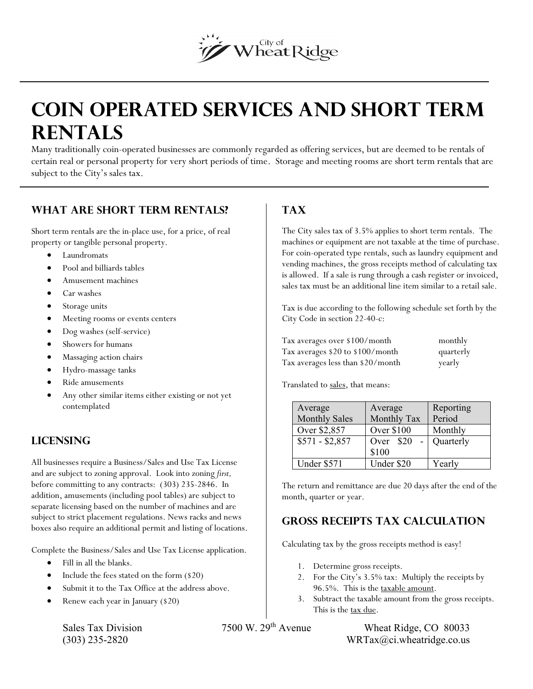# Wheat Ridge

# **COIN OPERATED SERVICES AND SHORT TERM RENTALS**

Many traditionally coin-operated businesses are commonly regarded as offering services, but are deemed to be rentals of certain real or personal property for very short periods of time. Storage and meeting rooms are short term rentals that are subject to the City's sales tax.

#### **What are short term rentals?**

Short term rentals are the in-place use, for a price, of real property or tangible personal property.

- Laundromats
- Pool and billiards tables
- Amusement machines
- Car washes
- Storage units
- Meeting rooms or events centers
- Dog washes (self-service)
- Showers for humans
- Massaging action chairs
- Hydro-massage tanks
- Ride amusements
- Any other similar items either existing or not yet contemplated

#### **Licensing**

All businesses require a Business/Sales and Use Tax License and are subject to zoning approval. Look into zoning *first,*  before committing to any contracts: (303) 235-2846. In addition, amusements (including pool tables) are subject to separate licensing based on the number of machines and are subject to strict placement regulations. News racks and news boxes also require an additional permit and listing of locations.

Complete the Business/Sales and Use Tax License application.

- Fill in all the blanks.
- Include the fees stated on the form (\$20)
- Submit it to the Tax Office at the address above.
- Renew each year in January (\$20)

## **Tax**

The City sales tax of 3.5% applies to short term rentals. The machines or equipment are not taxable at the time of purchase. For coin-operated type rentals, such as laundry equipment and vending machines, the gross receipts method of calculating tax is allowed. If a sale is rung through a cash register or invoiced, sales tax must be an additional line item similar to a retail sale.

Tax is due according to the following schedule set forth by the City Code in section 22-40-c:

| Tax averages over \$100/month     | monthly   |
|-----------------------------------|-----------|
| Tax averages \$20 to \$100/month  | quarterly |
| Tax averages less than \$20/month | yearly    |

Translated to sales, that means:

| Average              | Average     | Reporting |
|----------------------|-------------|-----------|
| <b>Monthly Sales</b> | Monthly Tax | Period    |
| Over \$2,857         | Over \$100  | Monthly   |
| $$571 - $2,857$      | Over \$20   | Quarterly |
|                      | \$100       |           |
| Under \$571          | Under \$20  | Yearly    |

The return and remittance are due 20 days after the end of the month, quarter or year.

### **Gross receipts tax Calculation**

Calculating tax by the gross receipts method is easy!

- 1. Determine gross receipts.
- 2. For the City's 3.5% tax: Multiply the receipts by 96.5%. This is the taxable amount.
- 3. Subtract the taxable amount from the gross receipts. This is the tax due.

Sales Tax Division 7500 W. 29<sup>th</sup> Avenue Wheat Ridge, CO 80033  $(WRTax@ci.whearidge.co.us$